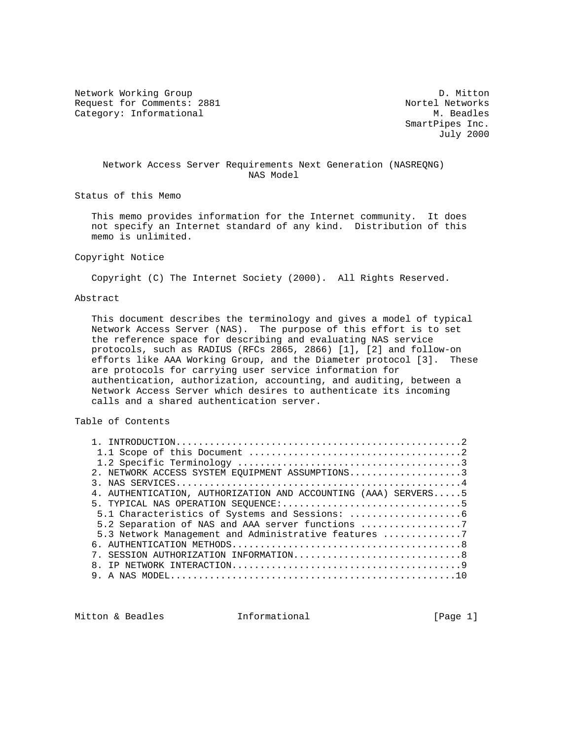Network Working Group Description of the U.S. of the U.S. of the U.S. of the U.S. of the U.S. of the U.S. of the U.S. of the U.S. of the U.S. of the U.S. of the U.S. of the U.S. of the U.S. of the U.S. of the U.S. of the U Request for Comments: 2881 Nortel Networks<br>
Category: Informational M. Beadles Category: Informational

 SmartPipes Inc. July 2000

## Network Access Server Requirements Next Generation (NASREQNG) NAS Model

Status of this Memo

 This memo provides information for the Internet community. It does not specify an Internet standard of any kind. Distribution of this memo is unlimited.

## Copyright Notice

Copyright (C) The Internet Society (2000). All Rights Reserved.

### Abstract

 This document describes the terminology and gives a model of typical Network Access Server (NAS). The purpose of this effort is to set the reference space for describing and evaluating NAS service protocols, such as RADIUS (RFCs 2865, 2866) [1], [2] and follow-on efforts like AAA Working Group, and the Diameter protocol [3]. These are protocols for carrying user service information for authentication, authorization, accounting, and auditing, between a Network Access Server which desires to authenticate its incoming calls and a shared authentication server.

## Table of Contents

| 2. NETWORK ACCESS SYSTEM EOUIPMENT ASSUMPTIONS3                |  |
|----------------------------------------------------------------|--|
|                                                                |  |
| 4. AUTHENTICATION, AUTHORIZATION AND ACCOUNTING (AAA) SERVERS5 |  |
| 5. TYPICAL NAS OPERATION SEOUENCE:5                            |  |
|                                                                |  |
| 5.2 Separation of NAS and AAA server functions 7               |  |
| 5.3 Network Management and Administrative features 7           |  |
|                                                                |  |
| SESSION AUTHORIZATION INFORMATION8                             |  |
|                                                                |  |
|                                                                |  |

Mitton & Beadles **Informational Informational** [Page 1]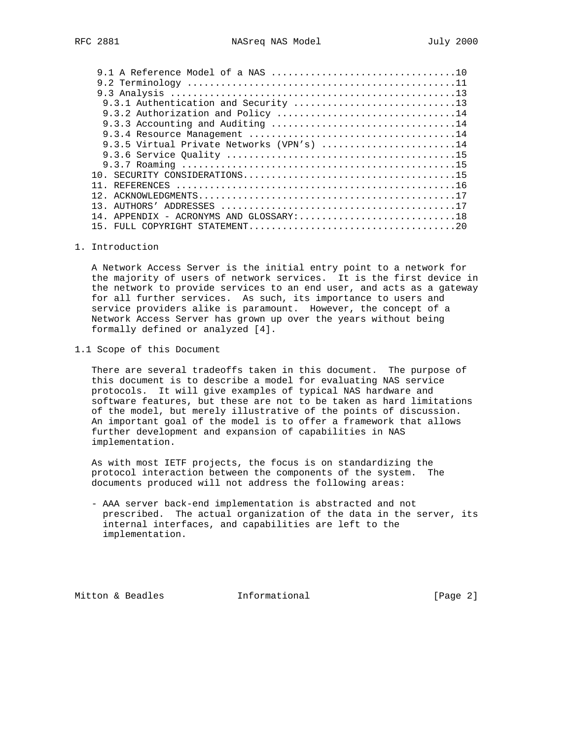| 9.3.2 Authorization and Policy 14         |
|-------------------------------------------|
| 9.3.3 Accounting and Auditing 14          |
|                                           |
| 9.3.5 Virtual Private Networks (VPN's) 14 |
|                                           |
|                                           |
|                                           |
|                                           |
|                                           |
| 13                                        |
| 14. APPENDIX - ACRONYMS AND GLOSSARY:18   |
|                                           |
|                                           |

### 1. Introduction

 A Network Access Server is the initial entry point to a network for the majority of users of network services. It is the first device in the network to provide services to an end user, and acts as a gateway for all further services. As such, its importance to users and service providers alike is paramount. However, the concept of a Network Access Server has grown up over the years without being formally defined or analyzed [4].

### 1.1 Scope of this Document

 There are several tradeoffs taken in this document. The purpose of this document is to describe a model for evaluating NAS service protocols. It will give examples of typical NAS hardware and software features, but these are not to be taken as hard limitations of the model, but merely illustrative of the points of discussion. An important goal of the model is to offer a framework that allows further development and expansion of capabilities in NAS implementation.

 As with most IETF projects, the focus is on standardizing the protocol interaction between the components of the system. The documents produced will not address the following areas:

 - AAA server back-end implementation is abstracted and not prescribed. The actual organization of the data in the server, its internal interfaces, and capabilities are left to the implementation.

Mitton & Beadles **Informational** [Page 2]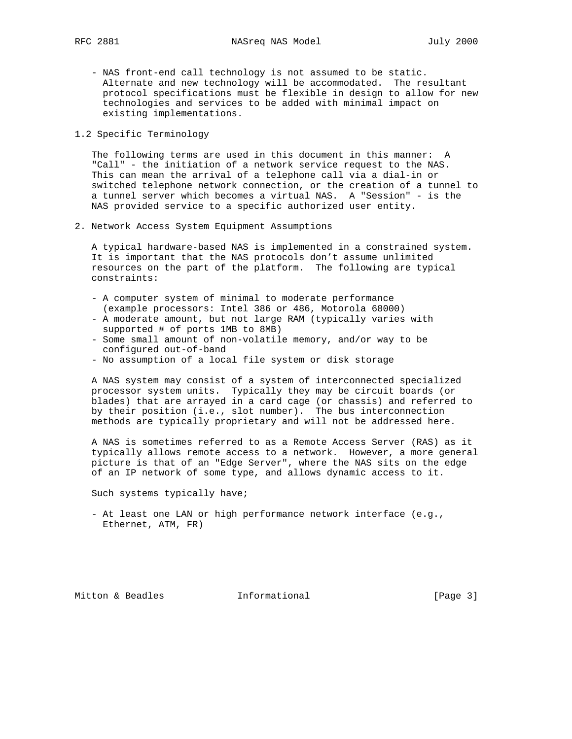- NAS front-end call technology is not assumed to be static. Alternate and new technology will be accommodated. The resultant protocol specifications must be flexible in design to allow for new technologies and services to be added with minimal impact on existing implementations.

## 1.2 Specific Terminology

 The following terms are used in this document in this manner: A "Call" - the initiation of a network service request to the NAS. This can mean the arrival of a telephone call via a dial-in or switched telephone network connection, or the creation of a tunnel to a tunnel server which becomes a virtual NAS. A "Session" - is the NAS provided service to a specific authorized user entity.

2. Network Access System Equipment Assumptions

 A typical hardware-based NAS is implemented in a constrained system. It is important that the NAS protocols don't assume unlimited resources on the part of the platform. The following are typical constraints:

- A computer system of minimal to moderate performance (example processors: Intel 386 or 486, Motorola 68000)
- A moderate amount, but not large RAM (typically varies with supported # of ports 1MB to 8MB)
- Some small amount of non-volatile memory, and/or way to be configured out-of-band
- No assumption of a local file system or disk storage

 A NAS system may consist of a system of interconnected specialized processor system units. Typically they may be circuit boards (or blades) that are arrayed in a card cage (or chassis) and referred to by their position (i.e., slot number). The bus interconnection methods are typically proprietary and will not be addressed here.

 A NAS is sometimes referred to as a Remote Access Server (RAS) as it typically allows remote access to a network. However, a more general picture is that of an "Edge Server", where the NAS sits on the edge of an IP network of some type, and allows dynamic access to it.

Such systems typically have;

 - At least one LAN or high performance network interface (e.g., Ethernet, ATM, FR)

Mitton & Beadles **Informational** [Page 3]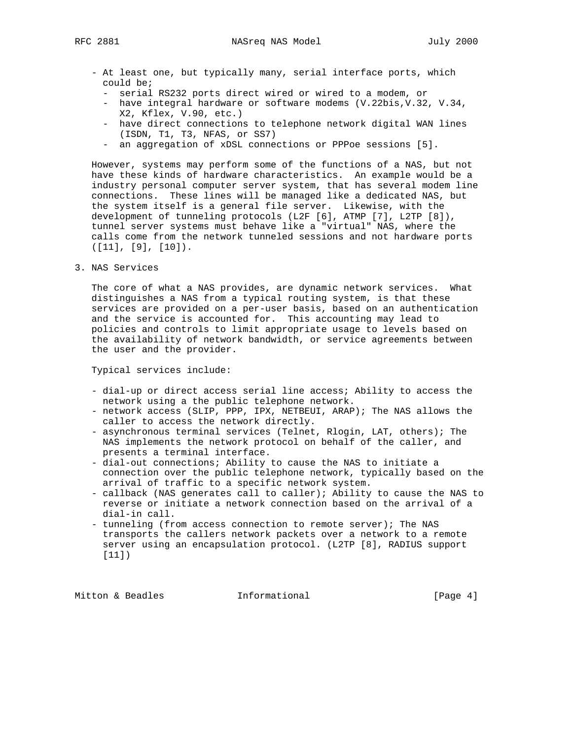- At least one, but typically many, serial interface ports, which could be;
	- serial RS232 ports direct wired or wired to a modem, or
	- have integral hardware or software modems (V.22bis,V.32, V.34, X2, Kflex, V.90, etc.)
	- have direct connections to telephone network digital WAN lines (ISDN, T1, T3, NFAS, or SS7)
	- an aggregation of xDSL connections or PPPoe sessions [5].

 However, systems may perform some of the functions of a NAS, but not have these kinds of hardware characteristics. An example would be a industry personal computer server system, that has several modem line connections. These lines will be managed like a dedicated NAS, but the system itself is a general file server. Likewise, with the development of tunneling protocols (L2F [6], ATMP [7], L2TP [8]), tunnel server systems must behave like a "virtual" NAS, where the calls come from the network tunneled sessions and not hardware ports ([11], [9], [10]).

3. NAS Services

 The core of what a NAS provides, are dynamic network services. What distinguishes a NAS from a typical routing system, is that these services are provided on a per-user basis, based on an authentication and the service is accounted for. This accounting may lead to policies and controls to limit appropriate usage to levels based on the availability of network bandwidth, or service agreements between the user and the provider.

Typical services include:

- dial-up or direct access serial line access; Ability to access the network using a the public telephone network.
- network access (SLIP, PPP, IPX, NETBEUI, ARAP); The NAS allows the caller to access the network directly.
- asynchronous terminal services (Telnet, Rlogin, LAT, others); The NAS implements the network protocol on behalf of the caller, and presents a terminal interface.
- dial-out connections; Ability to cause the NAS to initiate a connection over the public telephone network, typically based on the arrival of traffic to a specific network system.
- callback (NAS generates call to caller); Ability to cause the NAS to reverse or initiate a network connection based on the arrival of a dial-in call.
- tunneling (from access connection to remote server); The NAS transports the callers network packets over a network to a remote server using an encapsulation protocol. (L2TP [8], RADIUS support [11])

Mitton & Beadles **Informational Informational** [Page 4]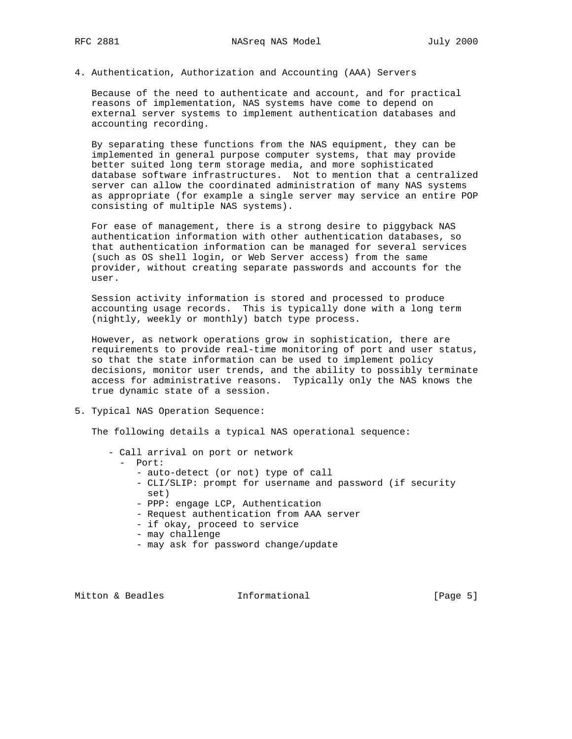4. Authentication, Authorization and Accounting (AAA) Servers

 Because of the need to authenticate and account, and for practical reasons of implementation, NAS systems have come to depend on external server systems to implement authentication databases and accounting recording.

 By separating these functions from the NAS equipment, they can be implemented in general purpose computer systems, that may provide better suited long term storage media, and more sophisticated database software infrastructures. Not to mention that a centralized server can allow the coordinated administration of many NAS systems as appropriate (for example a single server may service an entire POP consisting of multiple NAS systems).

 For ease of management, there is a strong desire to piggyback NAS authentication information with other authentication databases, so that authentication information can be managed for several services (such as OS shell login, or Web Server access) from the same provider, without creating separate passwords and accounts for the user.

 Session activity information is stored and processed to produce accounting usage records. This is typically done with a long term (nightly, weekly or monthly) batch type process.

 However, as network operations grow in sophistication, there are requirements to provide real-time monitoring of port and user status, so that the state information can be used to implement policy decisions, monitor user trends, and the ability to possibly terminate access for administrative reasons. Typically only the NAS knows the true dynamic state of a session.

5. Typical NAS Operation Sequence:

The following details a typical NAS operational sequence:

- Call arrival on port or network
	- Port:
		- auto-detect (or not) type of call
		- CLI/SLIP: prompt for username and password (if security set)
		- PPP: engage LCP, Authentication
		- Request authentication from AAA server
		- if okay, proceed to service
		- may challenge
		- may ask for password change/update

Mitton & Beadles **Informational** [Page 5]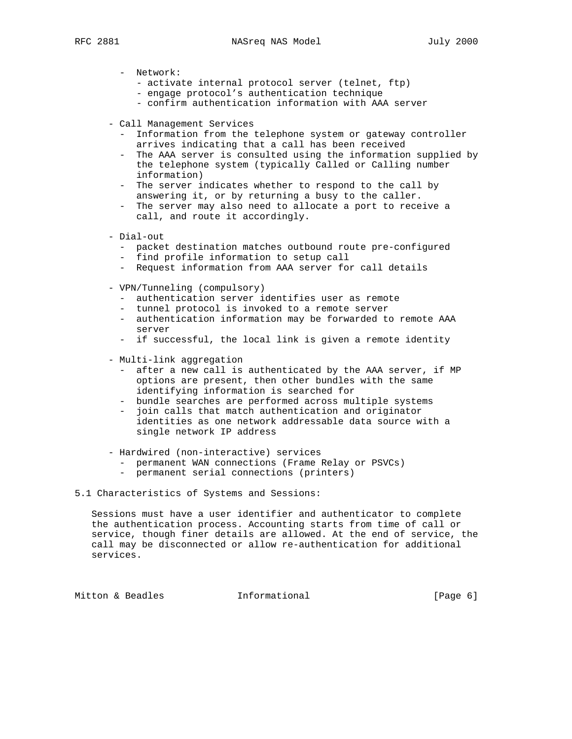- Network:
	- activate internal protocol server (telnet, ftp)
	- engage protocol's authentication technique
	- confirm authentication information with AAA server
- Call Management Services
	- Information from the telephone system or gateway controller arrives indicating that a call has been received
	- The AAA server is consulted using the information supplied by the telephone system (typically Called or Calling number information)
	- The server indicates whether to respond to the call by answering it, or by returning a busy to the caller.
	- The server may also need to allocate a port to receive a call, and route it accordingly.
- Dial-out
	- packet destination matches outbound route pre-configured
	- find profile information to setup call
	- Request information from AAA server for call details
- VPN/Tunneling (compulsory)
	- authentication server identifies user as remote
	- tunnel protocol is invoked to a remote server
	- authentication information may be forwarded to remote AAA server
	- if successful, the local link is given a remote identity
- Multi-link aggregation
	- after a new call is authenticated by the AAA server, if MP options are present, then other bundles with the same identifying information is searched for
	- bundle searches are performed across multiple systems
	- join calls that match authentication and originator identities as one network addressable data source with a single network IP address
- Hardwired (non-interactive) services
	- permanent WAN connections (Frame Relay or PSVCs)
	- permanent serial connections (printers)
- 5.1 Characteristics of Systems and Sessions:

 Sessions must have a user identifier and authenticator to complete the authentication process. Accounting starts from time of call or service, though finer details are allowed. At the end of service, the call may be disconnected or allow re-authentication for additional services.

Mitton & Beadles **Informational** [Page 6]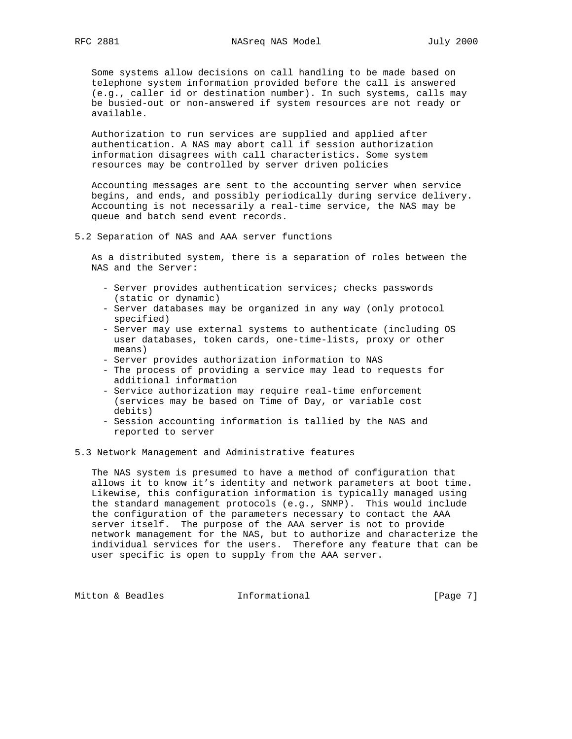Some systems allow decisions on call handling to be made based on telephone system information provided before the call is answered (e.g., caller id or destination number). In such systems, calls may be busied-out or non-answered if system resources are not ready or available.

 Authorization to run services are supplied and applied after authentication. A NAS may abort call if session authorization information disagrees with call characteristics. Some system resources may be controlled by server driven policies

 Accounting messages are sent to the accounting server when service begins, and ends, and possibly periodically during service delivery. Accounting is not necessarily a real-time service, the NAS may be queue and batch send event records.

### 5.2 Separation of NAS and AAA server functions

 As a distributed system, there is a separation of roles between the NAS and the Server:

- Server provides authentication services; checks passwords (static or dynamic)
- Server databases may be organized in any way (only protocol specified)
- Server may use external systems to authenticate (including OS user databases, token cards, one-time-lists, proxy or other means)
- Server provides authorization information to NAS
- The process of providing a service may lead to requests for additional information
- Service authorization may require real-time enforcement (services may be based on Time of Day, or variable cost debits)
- Session accounting information is tallied by the NAS and reported to server
- 5.3 Network Management and Administrative features

 The NAS system is presumed to have a method of configuration that allows it to know it's identity and network parameters at boot time. Likewise, this configuration information is typically managed using the standard management protocols (e.g., SNMP). This would include the configuration of the parameters necessary to contact the AAA server itself. The purpose of the AAA server is not to provide network management for the NAS, but to authorize and characterize the individual services for the users. Therefore any feature that can be user specific is open to supply from the AAA server.

Mitton & Beadles **Informational Informational** [Page 7]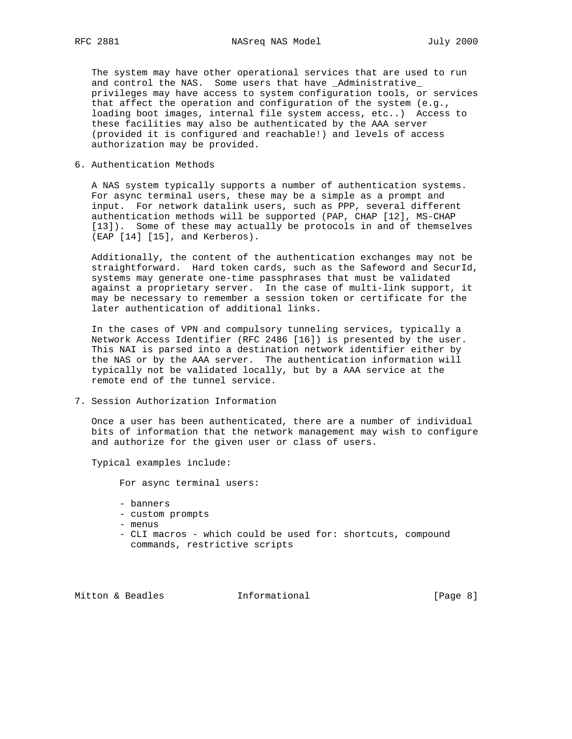The system may have other operational services that are used to run and control the NAS. Some users that have \_Administrative\_ privileges may have access to system configuration tools, or services that affect the operation and configuration of the system (e.g., loading boot images, internal file system access, etc..) Access to these facilities may also be authenticated by the AAA server (provided it is configured and reachable!) and levels of access authorization may be provided.

6. Authentication Methods

 A NAS system typically supports a number of authentication systems. For async terminal users, these may be a simple as a prompt and input. For network datalink users, such as PPP, several different authentication methods will be supported (PAP, CHAP [12], MS-CHAP [13]). Some of these may actually be protocols in and of themselves (EAP [14] [15], and Kerberos).

 Additionally, the content of the authentication exchanges may not be straightforward. Hard token cards, such as the Safeword and SecurId, systems may generate one-time passphrases that must be validated against a proprietary server. In the case of multi-link support, it may be necessary to remember a session token or certificate for the later authentication of additional links.

 In the cases of VPN and compulsory tunneling services, typically a Network Access Identifier (RFC 2486 [16]) is presented by the user. This NAI is parsed into a destination network identifier either by the NAS or by the AAA server. The authentication information will typically not be validated locally, but by a AAA service at the remote end of the tunnel service.

7. Session Authorization Information

 Once a user has been authenticated, there are a number of individual bits of information that the network management may wish to configure and authorize for the given user or class of users.

Typical examples include:

For async terminal users:

- banners
- custom prompts
- menus
- CLI macros which could be used for: shortcuts, compound commands, restrictive scripts

Mitton & Beadles **Informational** [Page 8]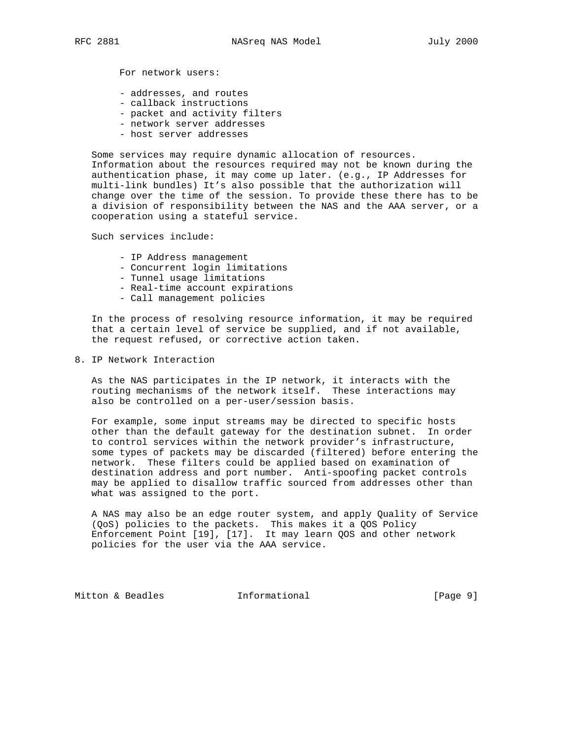For network users:

- addresses, and routes
- callback instructions
- packet and activity filters
- network server addresses
- host server addresses

 Some services may require dynamic allocation of resources. Information about the resources required may not be known during the authentication phase, it may come up later. (e.g., IP Addresses for multi-link bundles) It's also possible that the authorization will change over the time of the session. To provide these there has to be a division of responsibility between the NAS and the AAA server, or a cooperation using a stateful service.

Such services include:

- IP Address management
- Concurrent login limitations
- Tunnel usage limitations
- Real-time account expirations
- Call management policies

 In the process of resolving resource information, it may be required that a certain level of service be supplied, and if not available, the request refused, or corrective action taken.

8. IP Network Interaction

 As the NAS participates in the IP network, it interacts with the routing mechanisms of the network itself. These interactions may also be controlled on a per-user/session basis.

 For example, some input streams may be directed to specific hosts other than the default gateway for the destination subnet. In order to control services within the network provider's infrastructure, some types of packets may be discarded (filtered) before entering the network. These filters could be applied based on examination of destination address and port number. Anti-spoofing packet controls may be applied to disallow traffic sourced from addresses other than what was assigned to the port.

 A NAS may also be an edge router system, and apply Quality of Service (QoS) policies to the packets. This makes it a QOS Policy Enforcement Point [19], [17]. It may learn QOS and other network policies for the user via the AAA service.

Mitton & Beadles **Informational** [Page 9]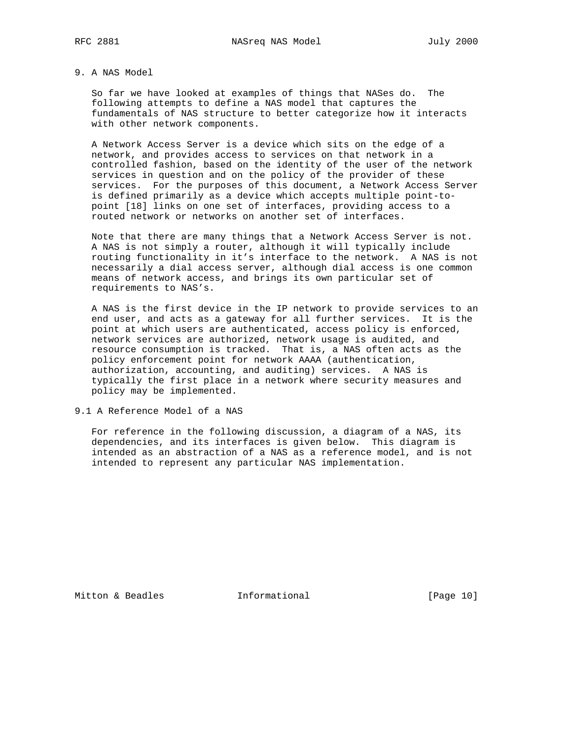# 9. A NAS Model

 So far we have looked at examples of things that NASes do. The following attempts to define a NAS model that captures the fundamentals of NAS structure to better categorize how it interacts with other network components.

 A Network Access Server is a device which sits on the edge of a network, and provides access to services on that network in a controlled fashion, based on the identity of the user of the network services in question and on the policy of the provider of these services. For the purposes of this document, a Network Access Server is defined primarily as a device which accepts multiple point-to point [18] links on one set of interfaces, providing access to a routed network or networks on another set of interfaces.

 Note that there are many things that a Network Access Server is not. A NAS is not simply a router, although it will typically include routing functionality in it's interface to the network. A NAS is not necessarily a dial access server, although dial access is one common means of network access, and brings its own particular set of requirements to NAS's.

 A NAS is the first device in the IP network to provide services to an end user, and acts as a gateway for all further services. It is the point at which users are authenticated, access policy is enforced, network services are authorized, network usage is audited, and resource consumption is tracked. That is, a NAS often acts as the policy enforcement point for network AAAA (authentication, authorization, accounting, and auditing) services. A NAS is typically the first place in a network where security measures and policy may be implemented.

9.1 A Reference Model of a NAS

 For reference in the following discussion, a diagram of a NAS, its dependencies, and its interfaces is given below. This diagram is intended as an abstraction of a NAS as a reference model, and is not intended to represent any particular NAS implementation.

Mitton & Beadles **Informational** [Page 10]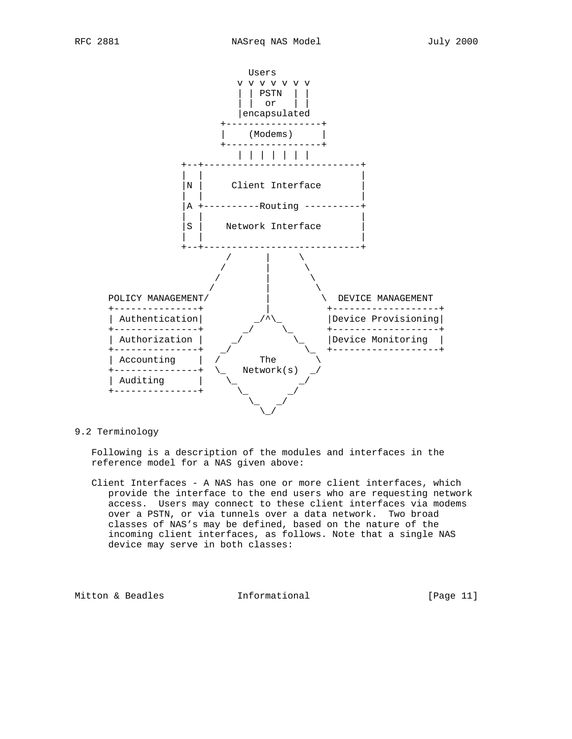

## 9.2 Terminology

 Following is a description of the modules and interfaces in the reference model for a NAS given above:

 Client Interfaces - A NAS has one or more client interfaces, which provide the interface to the end users who are requesting network access. Users may connect to these client interfaces via modems over a PSTN, or via tunnels over a data network. Two broad classes of NAS's may be defined, based on the nature of the incoming client interfaces, as follows. Note that a single NAS device may serve in both classes:

Mitton & Beadles **Informational** [Page 11]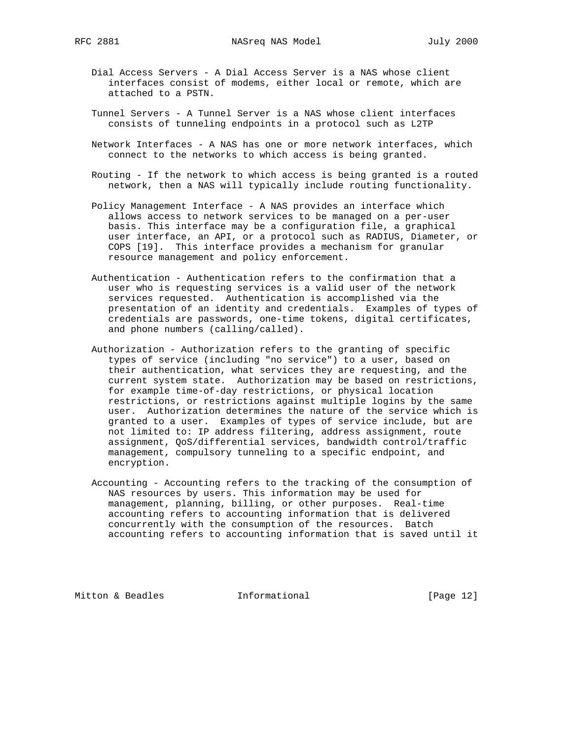- Dial Access Servers A Dial Access Server is a NAS whose client interfaces consist of modems, either local or remote, which are attached to a PSTN.
- Tunnel Servers A Tunnel Server is a NAS whose client interfaces consists of tunneling endpoints in a protocol such as L2TP
- Network Interfaces A NAS has one or more network interfaces, which connect to the networks to which access is being granted.
- Routing If the network to which access is being granted is a routed network, then a NAS will typically include routing functionality.
- Policy Management Interface A NAS provides an interface which allows access to network services to be managed on a per-user basis. This interface may be a configuration file, a graphical user interface, an API, or a protocol such as RADIUS, Diameter, or COPS [19]. This interface provides a mechanism for granular resource management and policy enforcement.
- Authentication Authentication refers to the confirmation that a user who is requesting services is a valid user of the network services requested. Authentication is accomplished via the presentation of an identity and credentials. Examples of types of credentials are passwords, one-time tokens, digital certificates, and phone numbers (calling/called).
- Authorization Authorization refers to the granting of specific types of service (including "no service") to a user, based on their authentication, what services they are requesting, and the current system state. Authorization may be based on restrictions, for example time-of-day restrictions, or physical location restrictions, or restrictions against multiple logins by the same user. Authorization determines the nature of the service which is granted to a user. Examples of types of service include, but are not limited to: IP address filtering, address assignment, route assignment, QoS/differential services, bandwidth control/traffic management, compulsory tunneling to a specific endpoint, and encryption.
- Accounting Accounting refers to the tracking of the consumption of NAS resources by users. This information may be used for management, planning, billing, or other purposes. Real-time accounting refers to accounting information that is delivered concurrently with the consumption of the resources. Batch accounting refers to accounting information that is saved until it

Mitton & Beadles **Informational** [Page 12]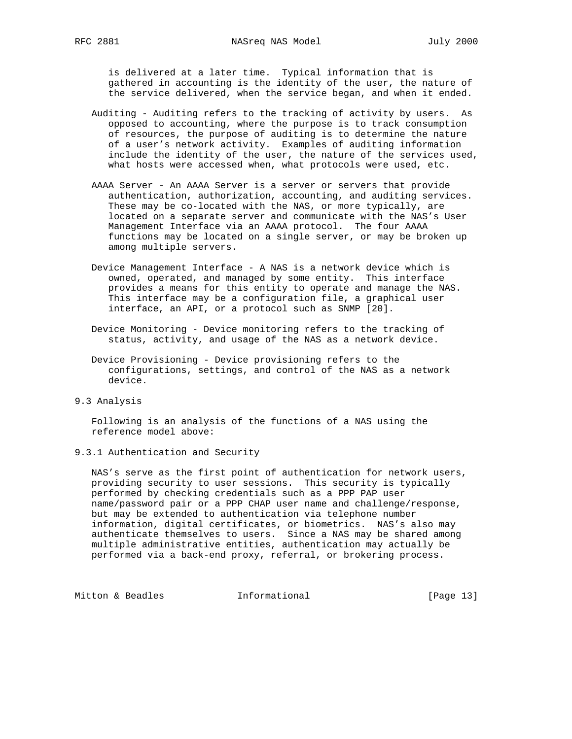is delivered at a later time. Typical information that is gathered in accounting is the identity of the user, the nature of the service delivered, when the service began, and when it ended.

- Auditing Auditing refers to the tracking of activity by users. As opposed to accounting, where the purpose is to track consumption of resources, the purpose of auditing is to determine the nature of a user's network activity. Examples of auditing information include the identity of the user, the nature of the services used, what hosts were accessed when, what protocols were used, etc.
- AAAA Server An AAAA Server is a server or servers that provide authentication, authorization, accounting, and auditing services. These may be co-located with the NAS, or more typically, are located on a separate server and communicate with the NAS's User Management Interface via an AAAA protocol. The four AAAA functions may be located on a single server, or may be broken up among multiple servers.
- Device Management Interface A NAS is a network device which is owned, operated, and managed by some entity. This interface provides a means for this entity to operate and manage the NAS. This interface may be a configuration file, a graphical user interface, an API, or a protocol such as SNMP [20].
- Device Monitoring Device monitoring refers to the tracking of status, activity, and usage of the NAS as a network device.
- Device Provisioning Device provisioning refers to the configurations, settings, and control of the NAS as a network device.
- 9.3 Analysis

 Following is an analysis of the functions of a NAS using the reference model above:

9.3.1 Authentication and Security

 NAS's serve as the first point of authentication for network users, providing security to user sessions. This security is typically performed by checking credentials such as a PPP PAP user name/password pair or a PPP CHAP user name and challenge/response, but may be extended to authentication via telephone number information, digital certificates, or biometrics. NAS's also may authenticate themselves to users. Since a NAS may be shared among multiple administrative entities, authentication may actually be performed via a back-end proxy, referral, or brokering process.

Mitton & Beadles **Informational Informational** [Page 13]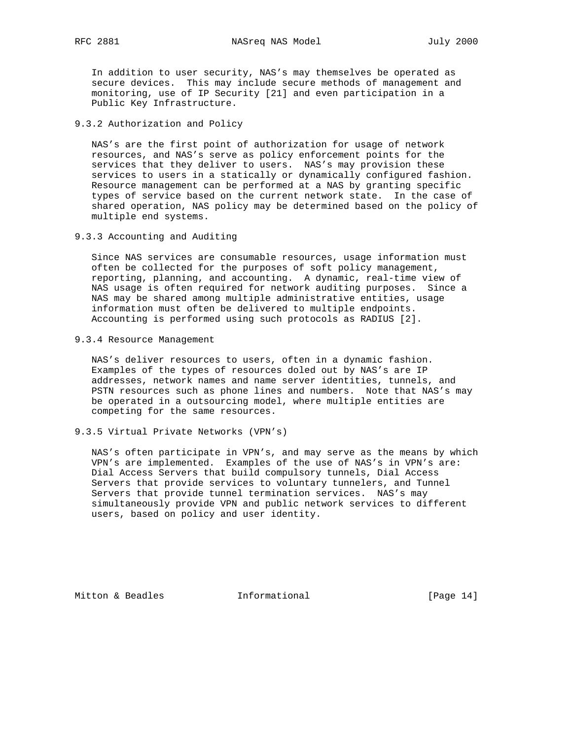In addition to user security, NAS's may themselves be operated as secure devices. This may include secure methods of management and monitoring, use of IP Security [21] and even participation in a Public Key Infrastructure.

9.3.2 Authorization and Policy

 NAS's are the first point of authorization for usage of network resources, and NAS's serve as policy enforcement points for the services that they deliver to users. NAS's may provision these services to users in a statically or dynamically configured fashion. Resource management can be performed at a NAS by granting specific types of service based on the current network state. In the case of shared operation, NAS policy may be determined based on the policy of multiple end systems.

9.3.3 Accounting and Auditing

 Since NAS services are consumable resources, usage information must often be collected for the purposes of soft policy management, reporting, planning, and accounting. A dynamic, real-time view of NAS usage is often required for network auditing purposes. Since a NAS may be shared among multiple administrative entities, usage information must often be delivered to multiple endpoints. Accounting is performed using such protocols as RADIUS [2].

9.3.4 Resource Management

 NAS's deliver resources to users, often in a dynamic fashion. Examples of the types of resources doled out by NAS's are IP addresses, network names and name server identities, tunnels, and PSTN resources such as phone lines and numbers. Note that NAS's may be operated in a outsourcing model, where multiple entities are competing for the same resources.

9.3.5 Virtual Private Networks (VPN's)

 NAS's often participate in VPN's, and may serve as the means by which VPN's are implemented. Examples of the use of NAS's in VPN's are: Dial Access Servers that build compulsory tunnels, Dial Access Servers that provide services to voluntary tunnelers, and Tunnel Servers that provide tunnel termination services. NAS's may simultaneously provide VPN and public network services to different users, based on policy and user identity.

Mitton & Beadles **Informational** [Page 14]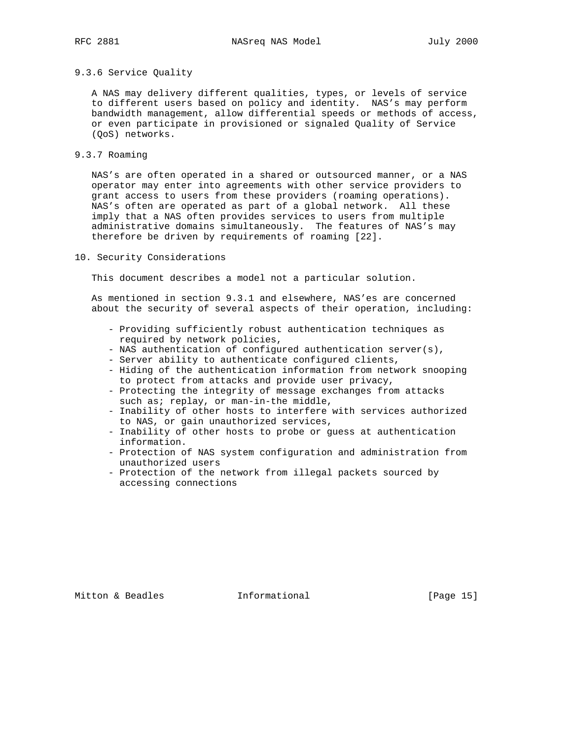### 9.3.6 Service Quality

 A NAS may delivery different qualities, types, or levels of service to different users based on policy and identity. NAS's may perform bandwidth management, allow differential speeds or methods of access, or even participate in provisioned or signaled Quality of Service (QoS) networks.

## 9.3.7 Roaming

 NAS's are often operated in a shared or outsourced manner, or a NAS operator may enter into agreements with other service providers to grant access to users from these providers (roaming operations). NAS's often are operated as part of a global network. All these imply that a NAS often provides services to users from multiple administrative domains simultaneously. The features of NAS's may therefore be driven by requirements of roaming [22].

#### 10. Security Considerations

This document describes a model not a particular solution.

 As mentioned in section 9.3.1 and elsewhere, NAS'es are concerned about the security of several aspects of their operation, including:

- Providing sufficiently robust authentication techniques as required by network policies,
- NAS authentication of configured authentication server(s),
- Server ability to authenticate configured clients,
- Hiding of the authentication information from network snooping to protect from attacks and provide user privacy,
- Protecting the integrity of message exchanges from attacks such as; replay, or man-in-the middle,
- Inability of other hosts to interfere with services authorized to NAS, or gain unauthorized services,
- Inability of other hosts to probe or guess at authentication information.
- Protection of NAS system configuration and administration from unauthorized users
- Protection of the network from illegal packets sourced by accessing connections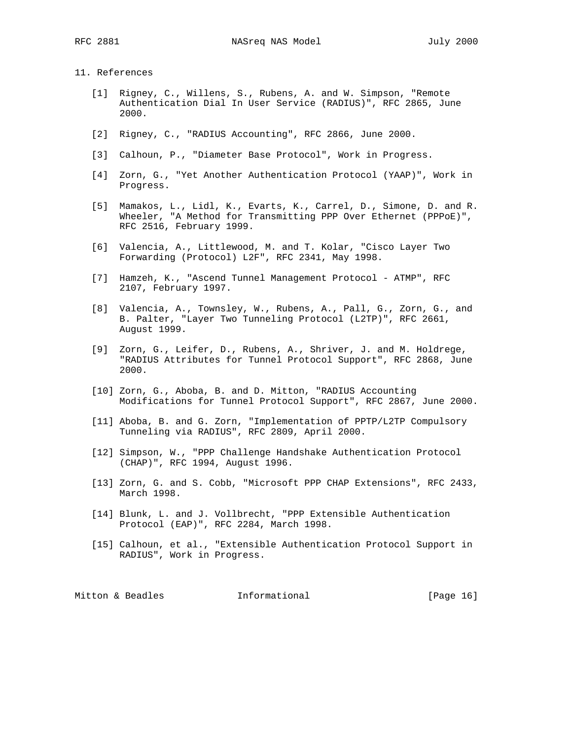## 11. References

- [1] Rigney, C., Willens, S., Rubens, A. and W. Simpson, "Remote Authentication Dial In User Service (RADIUS)", RFC 2865, June 2000.
- [2] Rigney, C., "RADIUS Accounting", RFC 2866, June 2000.
- [3] Calhoun, P., "Diameter Base Protocol", Work in Progress.
- [4] Zorn, G., "Yet Another Authentication Protocol (YAAP)", Work in Progress.
- [5] Mamakos, L., Lidl, K., Evarts, K., Carrel, D., Simone, D. and R. Wheeler, "A Method for Transmitting PPP Over Ethernet (PPPoE)", RFC 2516, February 1999.
- [6] Valencia, A., Littlewood, M. and T. Kolar, "Cisco Layer Two Forwarding (Protocol) L2F", RFC 2341, May 1998.
- [7] Hamzeh, K., "Ascend Tunnel Management Protocol ATMP", RFC 2107, February 1997.
- [8] Valencia, A., Townsley, W., Rubens, A., Pall, G., Zorn, G., and B. Palter, "Layer Two Tunneling Protocol (L2TP)", RFC 2661, August 1999.
- [9] Zorn, G., Leifer, D., Rubens, A., Shriver, J. and M. Holdrege, "RADIUS Attributes for Tunnel Protocol Support", RFC 2868, June 2000.
- [10] Zorn, G., Aboba, B. and D. Mitton, "RADIUS Accounting Modifications for Tunnel Protocol Support", RFC 2867, June 2000.
- [11] Aboba, B. and G. Zorn, "Implementation of PPTP/L2TP Compulsory Tunneling via RADIUS", RFC 2809, April 2000.
- [12] Simpson, W., "PPP Challenge Handshake Authentication Protocol (CHAP)", RFC 1994, August 1996.
- [13] Zorn, G. and S. Cobb, "Microsoft PPP CHAP Extensions", RFC 2433, March 1998.
- [14] Blunk, L. and J. Vollbrecht, "PPP Extensible Authentication Protocol (EAP)", RFC 2284, March 1998.
- [15] Calhoun, et al., "Extensible Authentication Protocol Support in RADIUS", Work in Progress.

| Mitton & Beadles | Informational | [Page 16] |  |
|------------------|---------------|-----------|--|
|                  |               |           |  |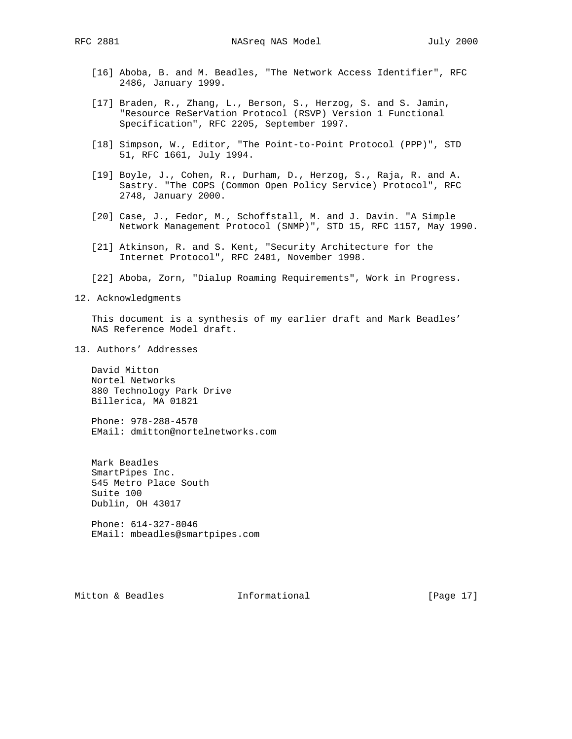RFC 2881 NASreq NAS Model July 2000

- [16] Aboba, B. and M. Beadles, "The Network Access Identifier", RFC 2486, January 1999.
- [17] Braden, R., Zhang, L., Berson, S., Herzog, S. and S. Jamin, "Resource ReSerVation Protocol (RSVP) Version 1 Functional Specification", RFC 2205, September 1997.
- [18] Simpson, W., Editor, "The Point-to-Point Protocol (PPP)", STD 51, RFC 1661, July 1994.
- [19] Boyle, J., Cohen, R., Durham, D., Herzog, S., Raja, R. and A. Sastry. "The COPS (Common Open Policy Service) Protocol", RFC 2748, January 2000.
- [20] Case, J., Fedor, M., Schoffstall, M. and J. Davin. "A Simple Network Management Protocol (SNMP)", STD 15, RFC 1157, May 1990.
- [21] Atkinson, R. and S. Kent, "Security Architecture for the Internet Protocol", RFC 2401, November 1998.
- [22] Aboba, Zorn, "Dialup Roaming Requirements", Work in Progress.
- 12. Acknowledgments

 This document is a synthesis of my earlier draft and Mark Beadles' NAS Reference Model draft.

13. Authors' Addresses

 David Mitton Nortel Networks 880 Technology Park Drive Billerica, MA 01821

 Phone: 978-288-4570 EMail: dmitton@nortelnetworks.com

 Mark Beadles SmartPipes Inc. 545 Metro Place South Suite 100 Dublin, OH 43017

 Phone: 614-327-8046 EMail: mbeadles@smartpipes.com

Mitton & Beadles **Informational** [Page 17]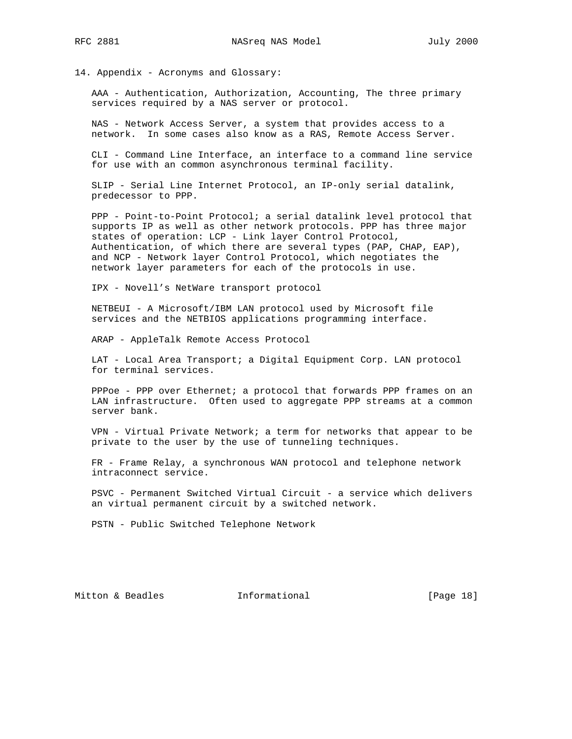14. Appendix - Acronyms and Glossary:

 AAA - Authentication, Authorization, Accounting, The three primary services required by a NAS server or protocol.

 NAS - Network Access Server, a system that provides access to a network. In some cases also know as a RAS, Remote Access Server.

 CLI - Command Line Interface, an interface to a command line service for use with an common asynchronous terminal facility.

 SLIP - Serial Line Internet Protocol, an IP-only serial datalink, predecessor to PPP.

 PPP - Point-to-Point Protocol; a serial datalink level protocol that supports IP as well as other network protocols. PPP has three major states of operation: LCP - Link layer Control Protocol, Authentication, of which there are several types (PAP, CHAP, EAP), and NCP - Network layer Control Protocol, which negotiates the network layer parameters for each of the protocols in use.

IPX - Novell's NetWare transport protocol

 NETBEUI - A Microsoft/IBM LAN protocol used by Microsoft file services and the NETBIOS applications programming interface.

ARAP - AppleTalk Remote Access Protocol

 LAT - Local Area Transport; a Digital Equipment Corp. LAN protocol for terminal services.

 PPPoe - PPP over Ethernet; a protocol that forwards PPP frames on an LAN infrastructure. Often used to aggregate PPP streams at a common server bank.

 VPN - Virtual Private Network; a term for networks that appear to be private to the user by the use of tunneling techniques.

 FR - Frame Relay, a synchronous WAN protocol and telephone network intraconnect service.

 PSVC - Permanent Switched Virtual Circuit - a service which delivers an virtual permanent circuit by a switched network.

PSTN - Public Switched Telephone Network

Mitton & Beadles **Informational** [Page 18]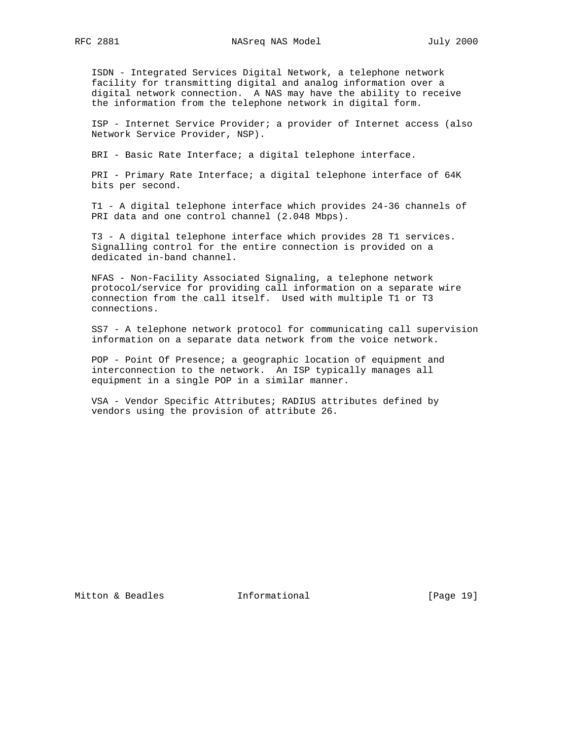ISDN - Integrated Services Digital Network, a telephone network facility for transmitting digital and analog information over a digital network connection. A NAS may have the ability to receive the information from the telephone network in digital form.

 ISP - Internet Service Provider; a provider of Internet access (also Network Service Provider, NSP).

BRI - Basic Rate Interface; a digital telephone interface.

 PRI - Primary Rate Interface; a digital telephone interface of 64K bits per second.

 T1 - A digital telephone interface which provides 24-36 channels of PRI data and one control channel (2.048 Mbps).

 T3 - A digital telephone interface which provides 28 T1 services. Signalling control for the entire connection is provided on a dedicated in-band channel.

 NFAS - Non-Facility Associated Signaling, a telephone network protocol/service for providing call information on a separate wire connection from the call itself. Used with multiple T1 or T3 connections.

 SS7 - A telephone network protocol for communicating call supervision information on a separate data network from the voice network.

 POP - Point Of Presence; a geographic location of equipment and interconnection to the network. An ISP typically manages all equipment in a single POP in a similar manner.

 VSA - Vendor Specific Attributes; RADIUS attributes defined by vendors using the provision of attribute 26.